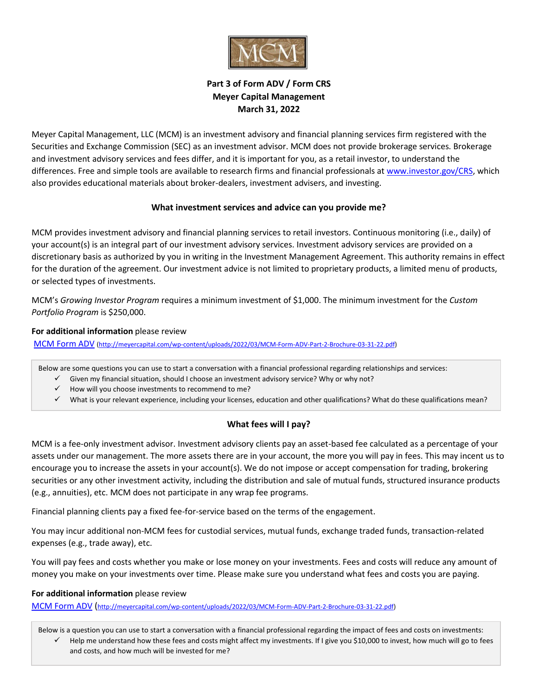

# **Part 3 of Form ADV / Form CRS Meyer Capital Management March 31, 2022**

Meyer Capital Management, LLC (MCM) is an investment advisory and financial planning services firm registered with the Securities and Exchange Commission (SEC) as an investment advisor. MCM does not provide brokerage services. Brokerage and investment advisory services and fees differ, and it is important for you, as a retail investor, to understand the differences. Free and simple tools are available to research firms and financial professionals at [www.investor.gov/CRS,](http://www.investor.gov/CRS) which also provides educational materials about broker-dealers, investment advisers, and investing.

#### **What investment services and advice can you provide me?**

MCM provides investment advisory and financial planning services to retail investors. Continuous monitoring (i.e., daily) of your account(s) is an integral part of our investment advisory services. Investment advisory services are provided on a discretionary basis as authorized by you in writing in the Investment Management Agreement. This authority remains in effect for the duration of the agreement. Our investment advice is not limited to proprietary products, a limited menu of products, or selected types of investments.

MCM's *Growing Investor Program* requires a minimum investment of \$1,000. The minimum investment for the *Custom Portfolio Program* is \$250,000.

#### **For additional information** please review

[MCM Form ADV](http://meyercapital.com/about-us/MCM%20Form%20ADV%20Part%202%20Brochure%20021320.pdf) [\(http://meyercapital.com/wp-content/uploads/2022/03/MCM-Form-ADV-Part-2-Brochure-03-31-22.pdf\)](http://meyercapital.com/wp-content/uploads/2022/03/MCM-Form-ADV-Part-2-Brochure-03-31-22.pdf)

Below are some questions you can use to start a conversation with a financial professional regarding relationships and services:

- ✓ Given my financial situation, should I choose an investment advisory service? Why or why not?
- ✓ How will you choose investments to recommend to me?
- ✓ What is your relevant experience, including your licenses, education and other qualifications? What do these qualifications mean?

## **What fees will I pay?**

MCM is a fee-only investment advisor. Investment advisory clients pay an asset-based fee calculated as a percentage of your assets under our management. The more assets there are in your account, the more you will pay in fees. This may incent us to encourage you to increase the assets in your account(s). We do not impose or accept compensation for trading, brokering securities or any other investment activity, including the distribution and sale of mutual funds, structured insurance products (e.g., annuities), etc. MCM does not participate in any wrap fee programs.

Financial planning clients pay a fixed fee-for-service based on the terms of the engagement.

You may incur additional non-MCM fees for custodial services, mutual funds, exchange traded funds, transaction-related expenses (e.g., trade away), etc.

You will pay fees and costs whether you make or lose money on your investments. Fees and costs will reduce any amount of money you make on your investments over time. Please make sure you understand what fees and costs you are paying.

#### **For additional information** please review

[MCM Form ADV](http://meyercapital.com/about-us/MCM%20Form%20ADV%20Part%202%20Brochure%20021320.pdf) ([http://meyercapital.com/wp-content/uploads/2022/03/MCM-Form-ADV-Part-2-Brochure-03-31-22.pdf\)](http://meyercapital.com/wp-content/uploads/2022/03/MCM-Form-ADV-Part-2-Brochure-03-31-22.pdf)

Below is a question you can use to start a conversation with a financial professional regarding the impact of fees and costs on investments:

✓ Help me understand how these fees and costs might affect my investments. If I give you \$10,000 to invest, how much will go to fees and costs, and how much will be invested for me?